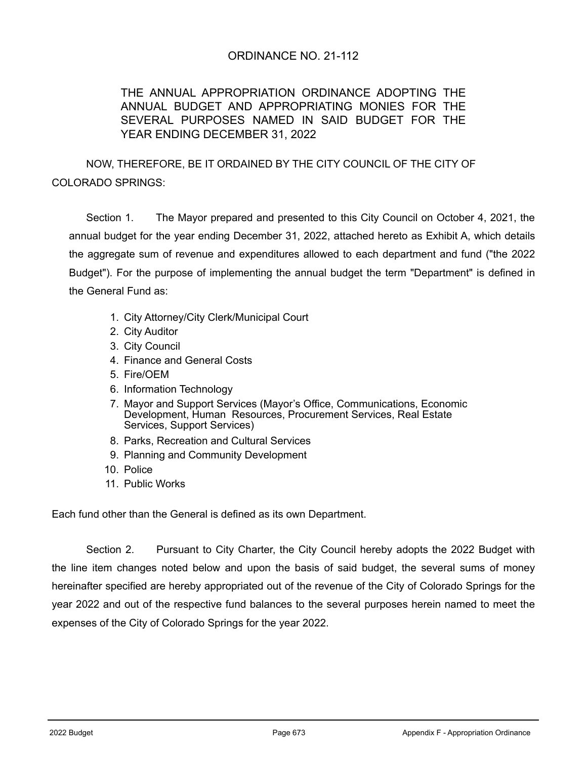## ORDINANCE NO. 21-112

# THE ANNUAL APPROPRIATION ORDINANCE ADOPTING THE ANNUAL BUDGET AND APPROPRIATING MONIES FOR THE SEVERAL PURPOSES NAMED IN SAID BUDGET FOR THE YEAR ENDING DECEMBER 31, 2022

NOW, THEREFORE, BE IT ORDAINED BY THE CITY COUNCIL OF THE CITY OF COLORADO SPRINGS:

Section 1. The Mayor prepared and presented to this City Council on October 4, 2021, the annual budget for the year ending December 31, 2022, attached hereto as Exhibit A, which details the aggregate sum of revenue and expenditures allowed to each department and fund ("the 2022 Budget"). For the purpose of implementing the annual budget the term "Department" is defined in the General Fund as:

- 1. City Attorney/City Clerk/Municipal Court
- 2. City Auditor
- 3. City Council
- 4. Finance and General Costs
- 5. Fire/OEM
- 6. Information Technology
- 7. Mayor and Support Services (Mayor's Office, Communications, Economic Development, Human Resources, Procurement Services, Real Estate Services, Support Services)
- 8. Parks, Recreation and Cultural Services
- 9. Planning and Community Development
- 10. Police
- 11. Public Works

Each fund other than the General is defined as its own Department.

Section 2. Pursuant to City Charter, the City Council hereby adopts the 2022 Budget with the line item changes noted below and upon the basis of said budget, the several sums of money hereinafter specified are hereby appropriated out of the revenue of the City of Colorado Springs for the year 2022 and out of the respective fund balances to the several purposes herein named to meet the expenses of the City of Colorado Springs for the year 2022.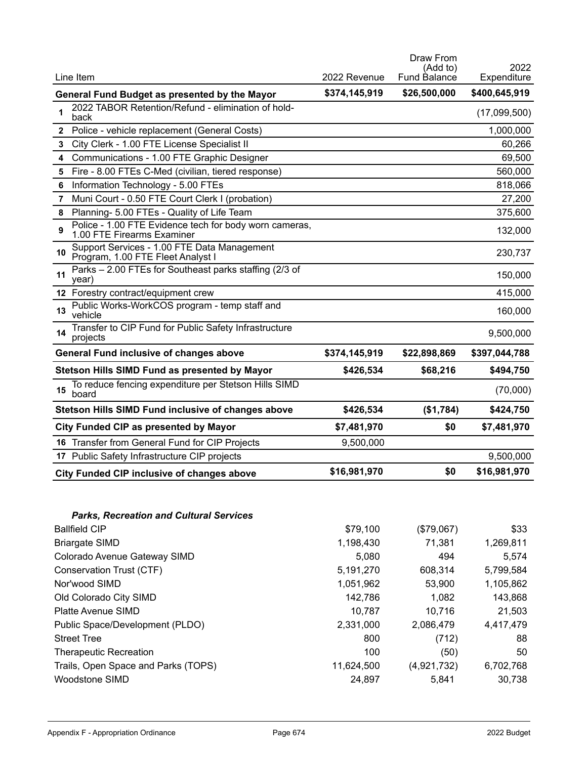|    |                                                                                      |               | Draw From<br>(Add to) | 2022          |
|----|--------------------------------------------------------------------------------------|---------------|-----------------------|---------------|
|    | Line Item                                                                            | 2022 Revenue  | Fund Balance          | Expenditure   |
|    | General Fund Budget as presented by the Mayor                                        | \$374,145,919 | \$26,500,000          | \$400,645,919 |
| 1  | 2022 TABOR Retention/Refund - elimination of hold-<br>back                           |               |                       | (17,099,500)  |
| 2  | Police - vehicle replacement (General Costs)                                         |               |                       | 1,000,000     |
| 3  | City Clerk - 1.00 FTE License Specialist II                                          |               |                       | 60,266        |
| 4  | Communications - 1.00 FTE Graphic Designer                                           |               |                       | 69,500        |
| 5  | Fire - 8.00 FTEs C-Med (civilian, tiered response)                                   |               |                       | 560,000       |
| 6  | Information Technology - 5.00 FTEs                                                   |               |                       | 818,066       |
| 7  | Muni Court - 0.50 FTE Court Clerk I (probation)                                      |               |                       | 27,200        |
| 8  | Planning- 5.00 FTEs - Quality of Life Team                                           |               |                       | 375,600       |
| 9  | Police - 1.00 FTE Evidence tech for body worn cameras,<br>1.00 FTE Firearms Examiner |               |                       | 132,000       |
| 10 | Support Services - 1.00 FTE Data Management<br>Program, 1.00 FTE Fleet Analyst I     |               |                       | 230,737       |
| 11 | Parks - 2.00 FTEs for Southeast parks staffing (2/3 of<br>year)                      |               |                       | 150,000       |
|    | 12 Forestry contract/equipment crew                                                  |               |                       | 415,000       |
| 13 | Public Works-WorkCOS program - temp staff and<br>vehicle                             |               |                       | 160,000       |
| 14 | Transfer to CIP Fund for Public Safety Infrastructure<br>projects                    |               |                       | 9,500,000     |
|    | <b>General Fund inclusive of changes above</b>                                       | \$374,145,919 | \$22,898,869          | \$397,044,788 |
|    | Stetson Hills SIMD Fund as presented by Mayor                                        | \$426,534     | \$68,216              | \$494,750     |
| 15 | To reduce fencing expenditure per Stetson Hills SIMD<br>board                        |               |                       | (70,000)      |
|    | <b>Stetson Hills SIMD Fund inclusive of changes above</b>                            | \$426,534     | (\$1,784)             | \$424,750     |
|    | City Funded CIP as presented by Mayor                                                | \$7,481,970   | \$0                   | \$7,481,970   |
|    | 16 Transfer from General Fund for CIP Projects                                       | 9,500,000     |                       |               |
|    | 17 Public Safety Infrastructure CIP projects                                         |               |                       | 9,500,000     |
|    | <b>City Funded CIP inclusive of changes above</b>                                    | \$16,981,970  | \$0                   | \$16,981,970  |

| <b>Parks, Recreation and Cultural Services</b> |            |             |           |
|------------------------------------------------|------------|-------------|-----------|
| <b>Ballfield CIP</b>                           | \$79,100   | (\$79,067)  | \$33      |
| <b>Briargate SIMD</b>                          | 1,198,430  | 71,381      | 1,269,811 |
| Colorado Avenue Gateway SIMD                   | 5.080      | 494         | 5,574     |
| Conservation Trust (CTF)                       | 5,191,270  | 608,314     | 5,799,584 |
| Nor'wood SIMD                                  | 1,051,962  | 53,900      | 1,105,862 |
| Old Colorado City SIMD                         | 142,786    | 1.082       | 143,868   |
| <b>Platte Avenue SIMD</b>                      | 10,787     | 10.716      | 21,503    |
| Public Space/Development (PLDO)                | 2,331,000  | 2,086,479   | 4,417,479 |
| <b>Street Tree</b>                             | 800        | (712)       | 88        |
| <b>Therapeutic Recreation</b>                  | 100        | (50)        | 50        |
| Trails, Open Space and Parks (TOPS)            | 11,624,500 | (4,921,732) | 6,702,768 |
| <b>Woodstone SIMD</b>                          | 24,897     | 5.841       | 30,738    |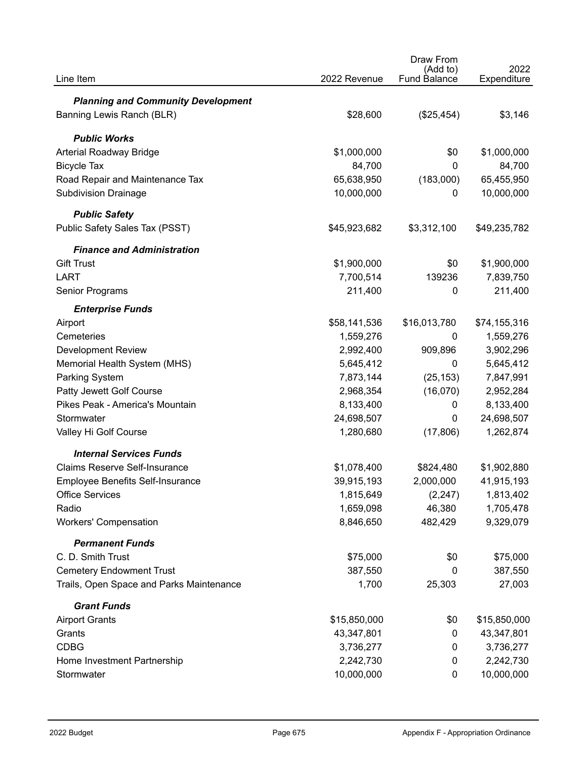|                                           |              | Draw From                       |                     |
|-------------------------------------------|--------------|---------------------------------|---------------------|
| Line Item                                 | 2022 Revenue | (Add to)<br><b>Fund Balance</b> | 2022<br>Expenditure |
| <b>Planning and Community Development</b> |              |                                 |                     |
| Banning Lewis Ranch (BLR)                 | \$28,600     | (\$25,454)                      | \$3,146             |
|                                           |              |                                 |                     |
| <b>Public Works</b>                       |              |                                 |                     |
| Arterial Roadway Bridge                   | \$1,000,000  | \$0                             | \$1,000,000         |
| <b>Bicycle Tax</b>                        | 84,700       | $\mathbf{0}$                    | 84,700              |
| Road Repair and Maintenance Tax           | 65,638,950   | (183,000)                       | 65,455,950          |
| <b>Subdivision Drainage</b>               | 10,000,000   | 0                               | 10,000,000          |
| <b>Public Safety</b>                      |              |                                 |                     |
| Public Safety Sales Tax (PSST)            | \$45,923,682 | \$3,312,100                     | \$49,235,782        |
| <b>Finance and Administration</b>         |              |                                 |                     |
| <b>Gift Trust</b>                         | \$1,900,000  | \$0                             | \$1,900,000         |
| <b>LART</b>                               | 7,700,514    | 139236                          | 7,839,750           |
| Senior Programs                           | 211,400      | $\Omega$                        | 211,400             |
| <b>Enterprise Funds</b>                   |              |                                 |                     |
| Airport                                   | \$58,141,536 | \$16,013,780                    | \$74,155,316        |
| Cemeteries                                | 1,559,276    | 0                               | 1,559,276           |
| <b>Development Review</b>                 | 2,992,400    | 909,896                         | 3,902,296           |
| Memorial Health System (MHS)              | 5,645,412    | 0                               | 5,645,412           |
| Parking System                            | 7,873,144    | (25, 153)                       | 7,847,991           |
| Patty Jewett Golf Course                  | 2,968,354    | (16,070)                        | 2,952,284           |
| Pikes Peak - America's Mountain           | 8,133,400    | 0                               | 8,133,400           |
| Stormwater                                | 24,698,507   | 0                               | 24,698,507          |
| Valley Hi Golf Course                     | 1,280,680    | (17, 806)                       | 1,262,874           |
| <b>Internal Services Funds</b>            |              |                                 |                     |
| <b>Claims Reserve Self-Insurance</b>      | \$1,078,400  | \$824,480                       | \$1,902,880         |
| <b>Employee Benefits Self-Insurance</b>   | 39,915,193   | 2,000,000                       | 41,915,193          |
| <b>Office Services</b>                    | 1,815,649    | (2, 247)                        | 1,813,402           |
| Radio                                     | 1,659,098    | 46,380                          | 1,705,478           |
| <b>Workers' Compensation</b>              | 8,846,650    | 482,429                         | 9,329,079           |
| <b>Permanent Funds</b>                    |              |                                 |                     |
| C. D. Smith Trust                         | \$75,000     | \$0                             | \$75,000            |
| <b>Cemetery Endowment Trust</b>           | 387,550      | 0                               | 387,550             |
| Trails, Open Space and Parks Maintenance  | 1,700        | 25,303                          | 27,003              |
| <b>Grant Funds</b>                        |              |                                 |                     |
| <b>Airport Grants</b>                     | \$15,850,000 | \$0                             | \$15,850,000        |
| Grants                                    | 43,347,801   | 0                               | 43,347,801          |
| <b>CDBG</b>                               | 3,736,277    | 0                               | 3,736,277           |
| Home Investment Partnership               | 2,242,730    | 0                               | 2,242,730           |
| Stormwater                                | 10,000,000   | 0                               | 10,000,000          |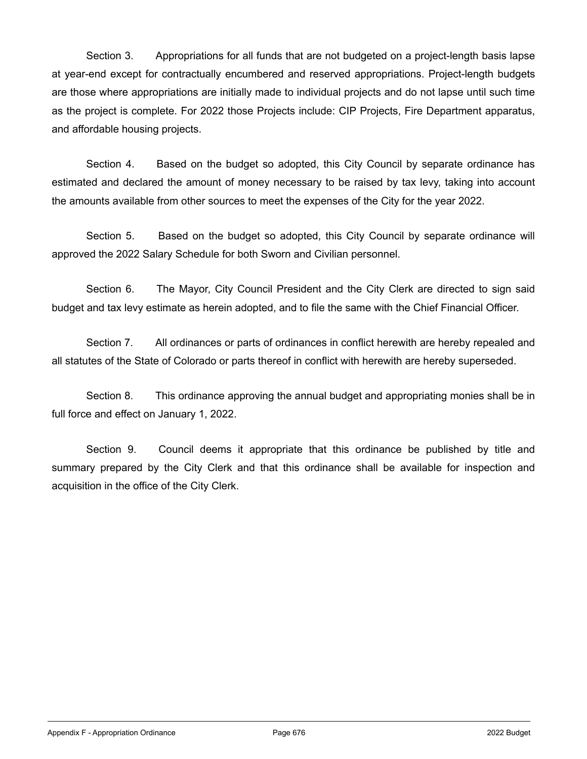Section 3. Appropriations for all funds that are not budgeted on a project-length basis lapse at year-end except for contractually encumbered and reserved appropriations. Project-length budgets are those where appropriations are initially made to individual projects and do not lapse until such time as the project is complete. For 2022 those Projects include: CIP Projects, Fire Department apparatus, and affordable housing projects.

Section 4. Based on the budget so adopted, this City Council by separate ordinance has estimated and declared the amount of money necessary to be raised by tax levy, taking into account the amounts available from other sources to meet the expenses of the City for the year 2022.

Section 5. Based on the budget so adopted, this City Council by separate ordinance will approved the 2022 Salary Schedule for both Sworn and Civilian personnel.

Section 6. The Mayor, City Council President and the City Clerk are directed to sign said budget and tax levy estimate as herein adopted, and to file the same with the Chief Financial Officer.

Section 7. All ordinances or parts of ordinances in conflict herewith are hereby repealed and all statutes of the State of Colorado or parts thereof in conflict with herewith are hereby superseded.

Section 8. This ordinance approving the annual budget and appropriating monies shall be in full force and effect on January 1, 2022.

Section 9. Council deems it appropriate that this ordinance be published by title and summary prepared by the City Clerk and that this ordinance shall be available for inspection and acquisition in the office of the City Clerk.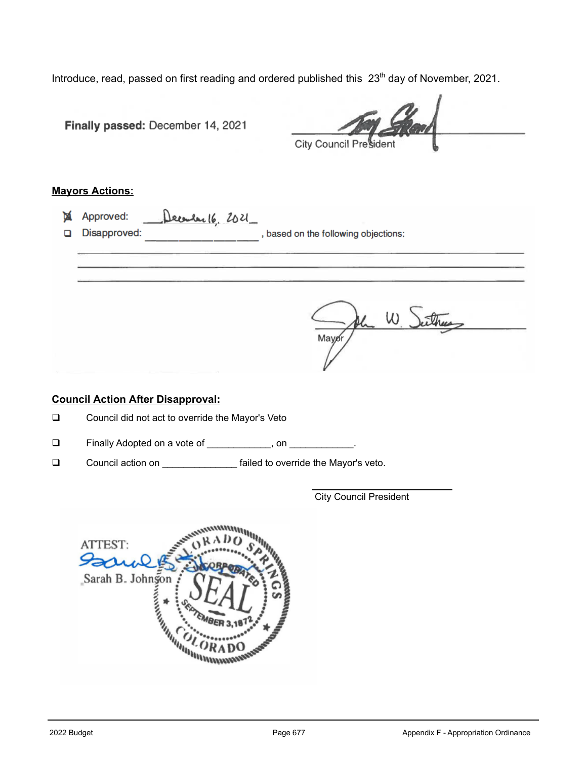Introduce, read, passed on first reading and ordered published this 23<sup>th</sup> day of November, 2021.

|        | Finally passed: December 14, 2021<br>City Council President                            |
|--------|----------------------------------------------------------------------------------------|
|        | <b>Mayors Actions:</b>                                                                 |
| М<br>◻ | Approved:<br>December 16, 2021<br>Disapproved:<br>, based on the following objections: |
|        | Mayor,                                                                                 |
|        | <b>Council Action After Disapproval:</b>                                               |
| ❏      | Council did not act to override the Mayor's Veto                                       |
| ❏      | Finally Adopted on a vote of ____________, on __________.                              |
| $\Box$ | Council action on _________________ failed to override the Mayor's veto.               |
|        | <b>City Council President</b>                                                          |
|        | ATTEST:<br>Sario<br>Sarah B. Johnson<br><b>CONTRACTOR</b><br><b>INVISION</b>           |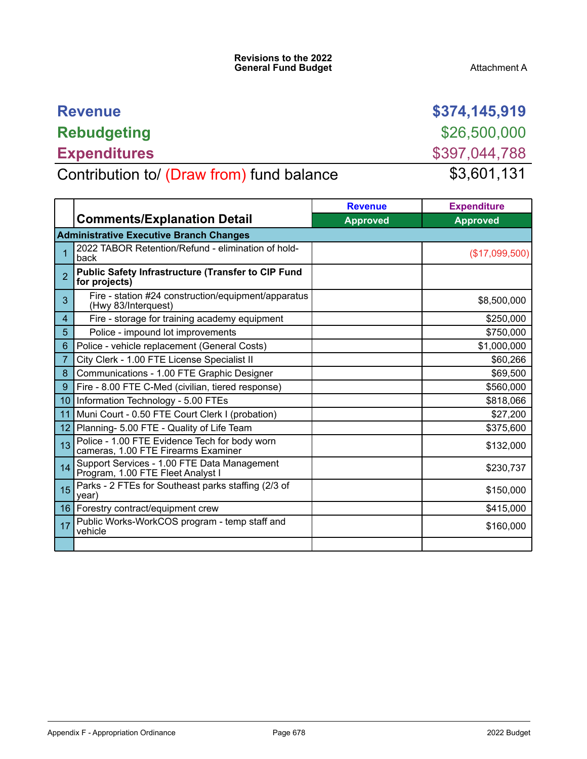| <b>Revenue</b>                            | \$374,145,919 |
|-------------------------------------------|---------------|
| <b>Rebudgeting</b>                        | \$26,500,000  |
| <b>Expenditures</b>                       | \$397,044,788 |
| Contribution to/ (Draw from) fund balance | \$3,601,131   |

|                 |                                                                                      | <b>Revenue</b>  | <b>Expenditure</b> |  |  |
|-----------------|--------------------------------------------------------------------------------------|-----------------|--------------------|--|--|
|                 | <b>Comments/Explanation Detail</b>                                                   | <b>Approved</b> | <b>Approved</b>    |  |  |
|                 | <b>Administrative Executive Branch Changes</b>                                       |                 |                    |  |  |
|                 | 2022 TABOR Retention/Refund - elimination of hold-<br>back                           |                 | (\$17,099,500)     |  |  |
|                 | <b>Public Safety Infrastructure (Transfer to CIP Fund</b><br>for projects)           |                 |                    |  |  |
| 3               | Fire - station #24 construction/equipment/apparatus<br>(Hwy 83/Interquest)           |                 | \$8,500,000        |  |  |
| 4               | Fire - storage for training academy equipment                                        |                 | \$250,000          |  |  |
| 5               | Police - impound lot improvements                                                    |                 | \$750,000          |  |  |
| 6               | Police - vehicle replacement (General Costs)                                         |                 | \$1,000,000        |  |  |
| 7               | City Clerk - 1.00 FTE License Specialist II                                          |                 | \$60,266           |  |  |
| 8               | Communications - 1.00 FTE Graphic Designer                                           |                 | \$69,500           |  |  |
| 9               | Fire - 8.00 FTE C-Med (civilian, tiered response)                                    |                 | \$560,000          |  |  |
| 10 <sup>°</sup> | Information Technology - 5.00 FTEs                                                   |                 | \$818,066          |  |  |
| 11              | Muni Court - 0.50 FTE Court Clerk I (probation)                                      |                 | \$27,200           |  |  |
| 12 <sub>2</sub> | Planning- 5.00 FTE - Quality of Life Team                                            |                 | \$375,600          |  |  |
| 13              | Police - 1.00 FTE Evidence Tech for body worn<br>cameras, 1.00 FTE Firearms Examiner |                 | \$132,000          |  |  |
| 14              | Support Services - 1.00 FTE Data Management<br>Program, 1.00 FTE Fleet Analyst I     |                 | \$230,737          |  |  |
| 15              | Parks - 2 FTEs for Southeast parks staffing (2/3 of<br>year)                         |                 | \$150,000          |  |  |
|                 | 16   Forestry contract/equipment crew                                                |                 | \$415,000          |  |  |
| 17              | Public Works-WorkCOS program - temp staff and<br>vehicle                             |                 | \$160,000          |  |  |
|                 |                                                                                      |                 |                    |  |  |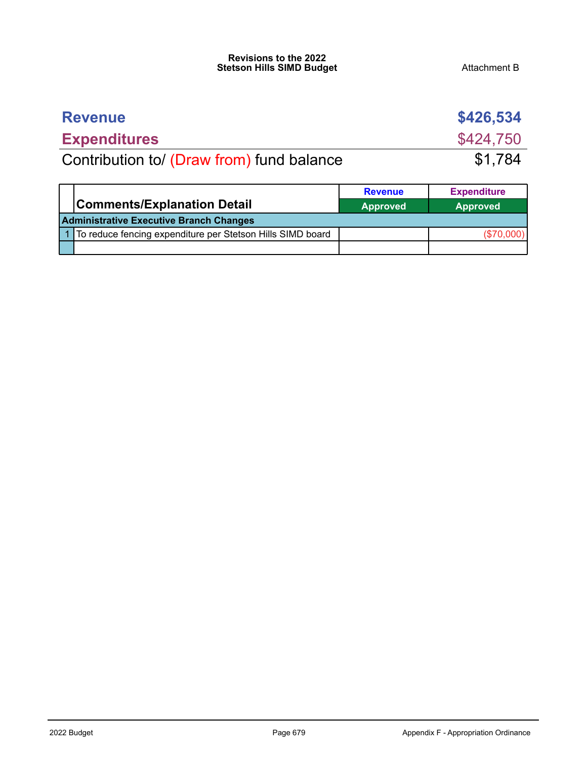### **Revisions to the 2022 Stetson Hills SIMD Budget** Attachment B

| <b>Revenue</b>                            | \$426,534 |
|-------------------------------------------|-----------|
| <b>Expenditures</b>                       | \$424,750 |
| Contribution to/ (Draw from) fund balance | \$1,784   |

|                                                            | <b>Revenue</b>  | <b>Expenditure</b> |
|------------------------------------------------------------|-----------------|--------------------|
| <b>Comments/Explanation Detail</b>                         | <b>Approved</b> | <b>Approved</b>    |
| <b>Administrative Executive Branch Changes</b>             |                 |                    |
| To reduce fencing expenditure per Stetson Hills SIMD board |                 | $(\$70,000)$       |
|                                                            |                 |                    |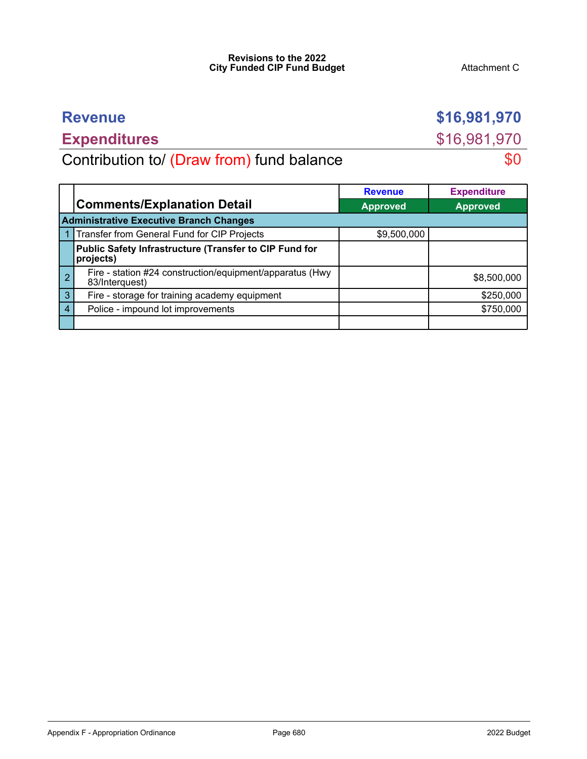### **Revisions to the 2022 City Funded CIP Fund Budget Attachment C Attachment C**

# **Expenditures** \$16,981,970

**Revenue \$16,981,970** 

Contribution to/ (Draw from) fund balance  $$0$ 

|   |                                                                            | <b>Revenue</b>  | <b>Expenditure</b> |
|---|----------------------------------------------------------------------------|-----------------|--------------------|
|   | <b>Comments/Explanation Detail</b>                                         | <b>Approved</b> | <b>Approved</b>    |
|   | <b>Administrative Executive Branch Changes</b>                             |                 |                    |
|   | Transfer from General Fund for CIP Projects                                | \$9,500,000     |                    |
|   | Public Safety Infrastructure (Transfer to CIP Fund for<br>projects)        |                 |                    |
| റ | Fire - station #24 construction/equipment/apparatus (Hwy<br>83/Interquest) |                 | \$8,500,000        |
| 3 | Fire - storage for training academy equipment                              |                 | \$250,000          |
|   | Police - impound lot improvements                                          |                 | \$750,000          |
|   |                                                                            |                 |                    |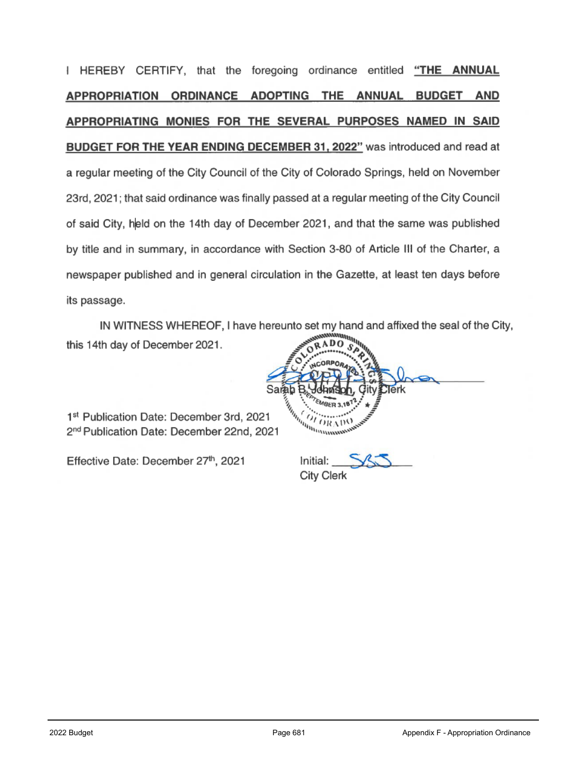I HEREBY CERTIFY, that the foregoing ordinance entitled "THE ANNUAL APPROPRIATION ORDINANCE ADOPTING THE ANNUAL BUDGET AND APPROPRIATING MONIES FOR THE SEVERAL PURPOSES NAMED IN SAID **BUDGET FOR THE YEAR ENDING DECEMBER 31, 2022"** was introduced and read at a regular meeting of the City Council of the City of Colorado Springs, held on November 23rd, 2021; that said ordinance was finally passed at a regular meeting of the City Council of said City, held on the 14th day of December 2021, and that the same was published by title and in summary, in accordance with Section 3-80 of Article III of the Charter, a newspaper published and in general circulation in the Gazette, at least ten days before its passage.

IN WITNESS WHEREOF, I have hereunto set my hand and affixed the seal of the City, AD this 14th day of December 2021.

1st Publication Date: December 3rd, 2021 2<sup>nd</sup> Publication Date: December 22nd, 2021

Effective Date: December 27th, 2021

Sama **MARKET STRANGER 3.18** 

Initial: **City Clerk**